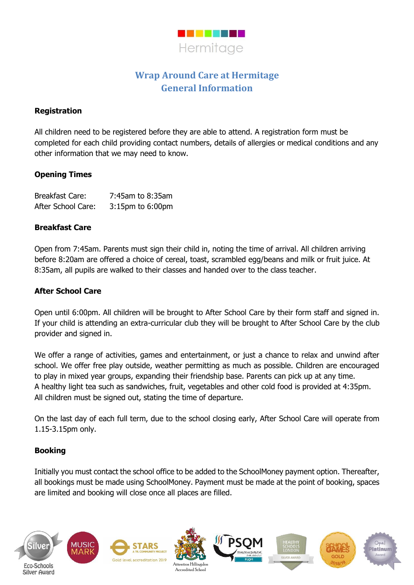

# **Wrap Around Care at Hermitage General Information**

#### **Registration**

All children need to be registered before they are able to attend. A registration form must be completed for each child providing contact numbers, details of allergies or medical conditions and any other information that we may need to know.

## **Opening Times**

| <b>Breakfast Care:</b> | 7:45am to 8:35am       |
|------------------------|------------------------|
| After School Care:     | $3:15$ pm to $6:00$ pm |

#### **Breakfast Care**

Open from 7:45am. Parents must sign their child in, noting the time of arrival. All children arriving before 8:20am are offered a choice of cereal, toast, scrambled egg/beans and milk or fruit juice. At 8:35am, all pupils are walked to their classes and handed over to the class teacher.

## **After School Care**

Open until 6:00pm. All children will be brought to After School Care by their form staff and signed in. If your child is attending an extra-curricular club they will be brought to After School Care by the club provider and signed in.

We offer a range of activities, games and entertainment, or just a chance to relax and unwind after school. We offer free play outside, weather permitting as much as possible. Children are encouraged to play in mixed year groups, expanding their friendship base. Parents can pick up at any time. A healthy light tea such as sandwiches, fruit, vegetables and other cold food is provided at 4:35pm. All children must be signed out, stating the time of departure.

On the last day of each full term, due to the school closing early, After School Care will operate from 1.15-3.15pm only.

#### **Booking**

Initially you must contact the school office to be added to the SchoolMoney payment option. Thereafter, all bookings must be made using SchoolMoney. Payment must be made at the point of booking, spaces are limited and booking will close once all places are filled.